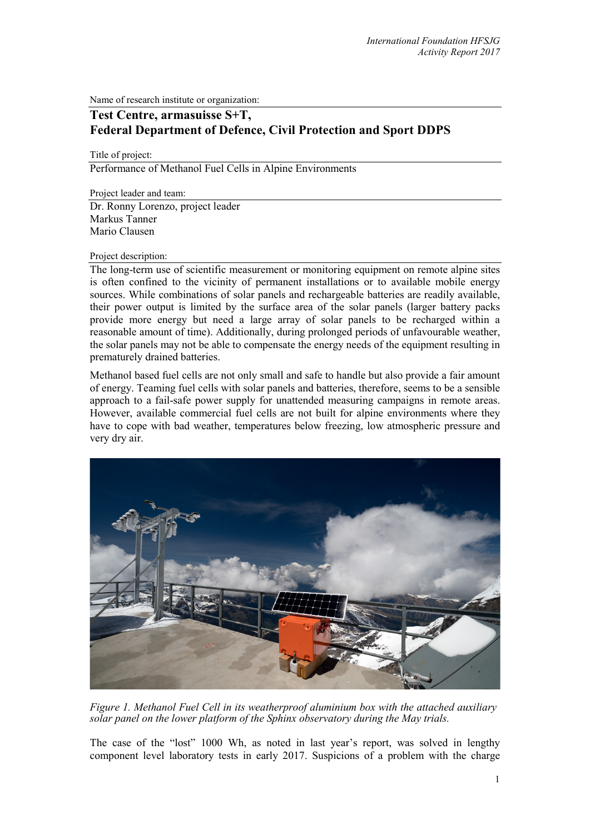Name of research institute or organization:

## **Test Centre, armasuisse S+T, Federal Department of Defence, Civil Protection and Sport DDPS**

Title of project:

Performance of Methanol Fuel Cells in Alpine Environments

Project leader and team:

Dr. Ronny Lorenzo, project leader Markus Tanner Mario Clausen

## Project description:

The long-term use of scientific measurement or monitoring equipment on remote alpine sites is often confined to the vicinity of permanent installations or to available mobile energy sources. While combinations of solar panels and rechargeable batteries are readily available, their power output is limited by the surface area of the solar panels (larger battery packs provide more energy but need a large array of solar panels to be recharged within a reasonable amount of time). Additionally, during prolonged periods of unfavourable weather, the solar panels may not be able to compensate the energy needs of the equipment resulting in prematurely drained batteries.

Methanol based fuel cells are not only small and safe to handle but also provide a fair amount of energy. Teaming fuel cells with solar panels and batteries, therefore, seems to be a sensible approach to a fail-safe power supply for unattended measuring campaigns in remote areas. However, available commercial fuel cells are not built for alpine environments where they have to cope with bad weather, temperatures below freezing, low atmospheric pressure and very dry air.



*Figure 1. Methanol Fuel Cell in its weatherproof aluminium box with the attached auxiliary solar panel on the lower platform of the Sphinx observatory during the May trials.*

The case of the "lost" 1000 Wh, as noted in last year's report, was solved in lengthy component level laboratory tests in early 2017. Suspicions of a problem with the charge